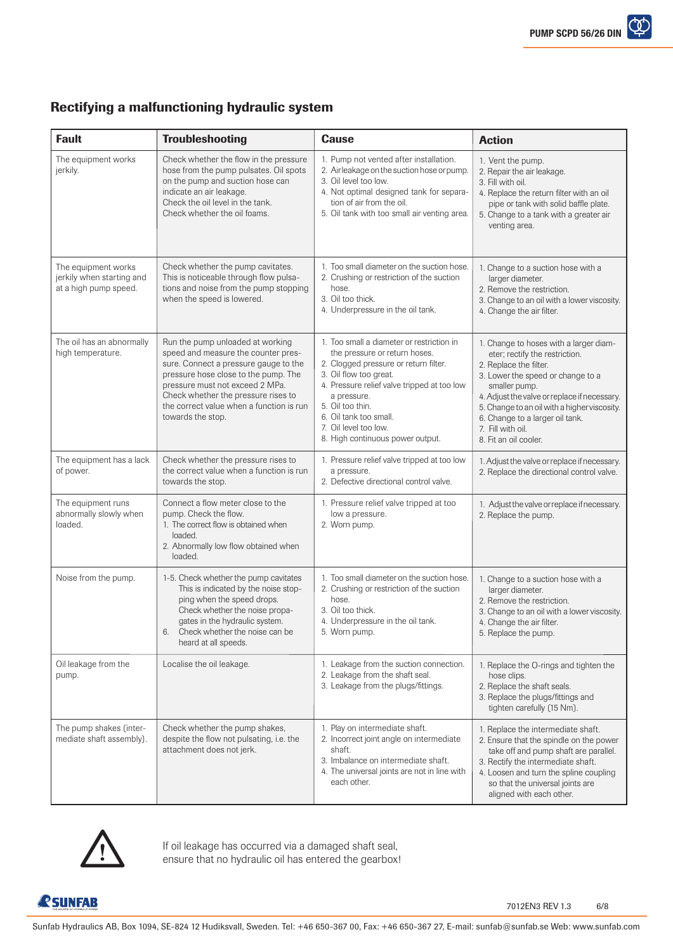## Rectifying a malfunctioning hydraulic system

| <b>Fault</b>                                                              | <b>Troubleshooting</b>                                                                                                                                                                                                                                                                              | <b>Cause</b>                                                                                                                                                                                                                                                                                                           | <b>Action</b>                                                                                                                                                                                                                                                                                                                             |  |
|---------------------------------------------------------------------------|-----------------------------------------------------------------------------------------------------------------------------------------------------------------------------------------------------------------------------------------------------------------------------------------------------|------------------------------------------------------------------------------------------------------------------------------------------------------------------------------------------------------------------------------------------------------------------------------------------------------------------------|-------------------------------------------------------------------------------------------------------------------------------------------------------------------------------------------------------------------------------------------------------------------------------------------------------------------------------------------|--|
| The equipment works<br>jerkily.                                           | Check whether the flow in the pressure<br>hose from the pump pulsates. Oil spots<br>on the pump and suction hose can<br>indicate an air leakage.<br>Check the oil level in the tank.<br>Check whether the oil foams.                                                                                | 1. Pump not vented after installation.<br>2. Airleakage on the suction hose or pump.<br>3. Oil level too low.<br>4. Not optimal designed tank for separa-<br>tion of air from the oil.<br>5. Oil tank with too small air venting area.                                                                                 | 1. Vent the pump.<br>2. Repair the air leakage.<br>3. Fill with oil.<br>4. Replace the return filter with an oil<br>pipe or tank with solid baffle plate.<br>5. Change to a tank with a greater air<br>venting area.                                                                                                                      |  |
| The equipment works<br>jerkily when starting and<br>at a high pump speed. | Check whether the pump cavitates.<br>This is noticeable through flow pulsa-<br>tions and noise from the pump stopping<br>when the speed is lowered.                                                                                                                                                 | 1. Too small diameter on the suction hose.<br>2. Crushing or restriction of the suction<br>hose.<br>3. Oil too thick.<br>4. Underpressure in the oil tank.                                                                                                                                                             | 1. Change to a suction hose with a<br>larger diameter.<br>2. Remove the restriction.<br>3. Change to an oil with a lower viscosity.<br>4. Change the air filter.                                                                                                                                                                          |  |
| The oil has an abnormally<br>high temperature.                            | Run the pump unloaded at working<br>speed and measure the counter pres-<br>sure. Connect a pressure gauge to the<br>pressure hose close to the pump. The<br>pressure must not exceed 2 MPa.<br>Check whether the pressure rises to<br>the correct value when a function is run<br>towards the stop. | 1. Too small a diameter or restriction in<br>the pressure or return hoses.<br>2. Clogged pressure or return filter.<br>3. Oil flow too great.<br>4. Pressure relief valve tripped at too low<br>a pressure.<br>5. Oil too thin.<br>6. Oil tank too small.<br>7. Oil level too low.<br>8. High continuous power output. | 1. Change to hoses with a larger diam-<br>eter; rectify the restriction.<br>2. Replace the filter.<br>3. Lower the speed or change to a<br>smaller pump.<br>4. Adjust the valve or replace if necessary.<br>5. Change to an oil with a higher viscosity.<br>6. Change to a larger oil tank.<br>7. Fill with oil.<br>8. Fit an oil cooler. |  |
| The equipment has a lack<br>of power.                                     | Check whether the pressure rises to<br>the correct value when a function is run<br>towards the stop.                                                                                                                                                                                                | 1. Pressure relief valve tripped at too low<br>a pressure.<br>2. Defective directional control valve.                                                                                                                                                                                                                  | 1. Adjust the valve or replace if necessary.<br>2. Replace the directional control valve.                                                                                                                                                                                                                                                 |  |
| The equipment runs<br>abnormally slowly when<br>loaded.                   | Connect a flow meter close to the<br>pump. Check the flow.<br>1. The correct flow is obtained when<br>loaded.<br>2. Abnormally low flow obtained when<br>loaded.                                                                                                                                    | 1. Pressure relief valve tripped at too<br>low a pressure.<br>2. Worn pump.                                                                                                                                                                                                                                            | 1. Adjust the valve or replace if necessary.<br>2. Replace the pump.                                                                                                                                                                                                                                                                      |  |
| Noise from the pump.                                                      | 1-5. Check whether the pump cavitates<br>This is indicated by the noise stop-<br>ping when the speed drops.<br>Check whether the noise propa-<br>gates in the hydraulic system.<br>Check whether the noise can be<br>6.<br>heard at all speeds.                                                     | 1. Too small diameter on the suction hose.<br>2. Crushing or restriction of the suction<br>hose.<br>3. Oil too thick.<br>4. Underpressure in the oil tank.<br>5. Worn pump.                                                                                                                                            | 1. Change to a suction hose with a<br>larger diameter.<br>2. Remove the restriction.<br>3. Change to an oil with a lower viscosity.<br>4. Change the air filter.<br>5. Replace the pump.                                                                                                                                                  |  |
| Oil leakage from the<br>pump.                                             | Localise the oil leakage.                                                                                                                                                                                                                                                                           | 1. Leakage from the suction connection.<br>2. Leakage from the shaft seal.<br>3. Leakage from the plugs/fittings.                                                                                                                                                                                                      | 1. Replace the O-rings and tighten the<br>hose clips.<br>2. Replace the shaft seals.<br>3. Replace the plugs/fittings and<br>tighten carefully (15 Nm).                                                                                                                                                                                   |  |
| The pump shakes (inter-<br>mediate shaft assembly).                       | Check whether the pump shakes,<br>despite the flow not pulsating, i.e. the<br>attachment does not jerk.                                                                                                                                                                                             | 1. Play on intermediate shaft.<br>2. Incorrect joint angle on intermediate<br>shaft.<br>3. Imbalance on intermediate shaft.<br>4. The universal joints are not in line with<br>each other.                                                                                                                             | 1. Replace the intermediate shaft.<br>2. Ensure that the spindle on the power<br>take off and pump shaft are parallel.<br>3. Rectify the intermediate shaft.<br>4. Loosen and turn the spline coupling<br>so that the universal joints are<br>aligned with each other.                                                                    |  |



If oil leakage has occurred via a damaged shaft seal, ensure that no hydraulic oil has entered the gearbox!

*<u>RSUNFAB</u>*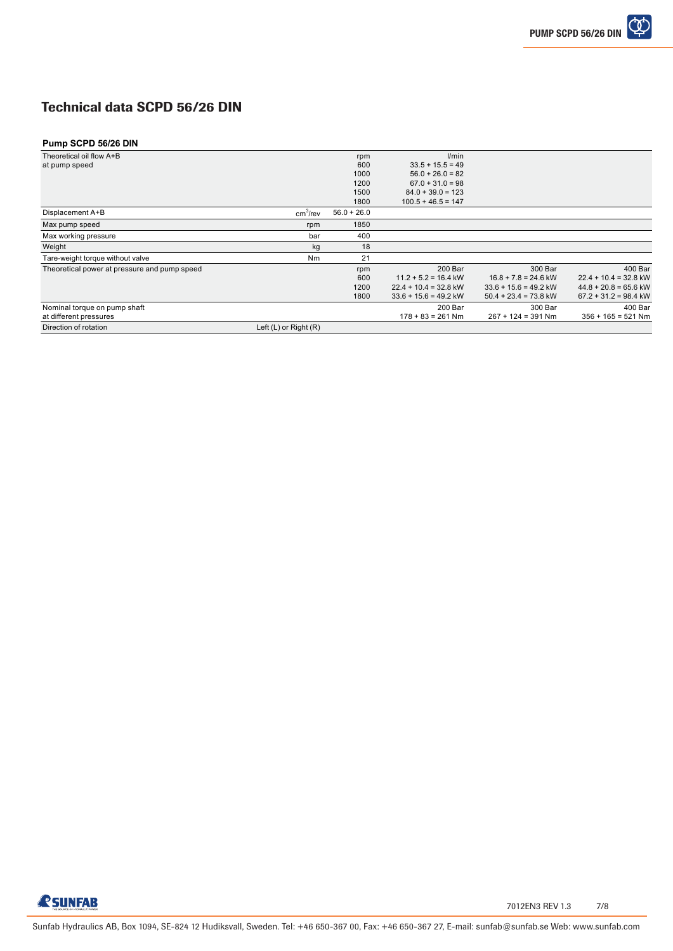## Technical data SCPD 56/26 DIN

## **Pump SCPD 56/26 DIN**

| Theoretical oil flow A+B                     |                       | rpm           | l/min                   |                         |                         |
|----------------------------------------------|-----------------------|---------------|-------------------------|-------------------------|-------------------------|
| at pump speed                                |                       | 600           | $33.5 + 15.5 = 49$      |                         |                         |
|                                              |                       | 1000          | $56.0 + 26.0 = 82$      |                         |                         |
|                                              |                       | 1200          | $67.0 + 31.0 = 98$      |                         |                         |
|                                              |                       | 1500          | $84.0 + 39.0 = 123$     |                         |                         |
|                                              |                       | 1800          | $100.5 + 46.5 = 147$    |                         |                         |
| Displacement A+B                             | cm <sup>3</sup> /rev  | $56.0 + 26.0$ |                         |                         |                         |
| Max pump speed                               | rpm                   | 1850          |                         |                         |                         |
| Max working pressure                         | bar                   | 400           |                         |                         |                         |
| Weight                                       | kg                    | 18            |                         |                         |                         |
| Tare-weight torque without valve             | Nm                    | 21            |                         |                         |                         |
| Theoretical power at pressure and pump speed |                       | rpm           | 200 Bar                 | 300 Bar                 | 400 Bar                 |
|                                              |                       | 600           | $11.2 + 5.2 = 16.4$ kW  | $16.8 + 7.8 = 24.6$ kW  | $22.4 + 10.4 = 32.8$ kW |
|                                              |                       | 1200          | $22.4 + 10.4 = 32.8$ kW | $33.6 + 15.6 = 49.2$ kW | $44.8 + 20.8 = 65.6$ kW |
|                                              |                       | 1800          | $33.6 + 15.6 = 49.2$ kW | $50.4 + 23.4 = 73.8$ kW | $67.2 + 31.2 = 98.4$ kW |
| Nominal torque on pump shaft                 |                       |               | 200 Bar                 | 300 Bar                 | 400 Bar                 |
| at different pressures                       |                       |               | $178 + 83 = 261$ Nm     | $267 + 124 = 391$ Nm    | $356 + 165 = 521$ Nm    |
| Direction of rotation                        | Left (L) or Right (R) |               |                         |                         |                         |